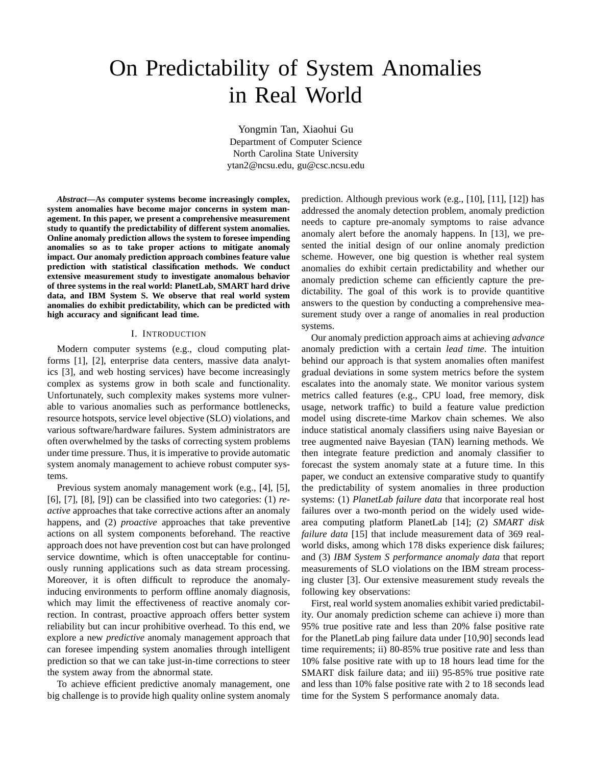# On Predictability of System Anomalies in Real World

Yongmin Tan, Xiaohui Gu Department of Computer Science North Carolina State University ytan2@ncsu.edu, gu@csc.ncsu.edu

*Abstract***—As computer systems become increasingly complex, system anomalies have become major concerns in system management. In this paper, we present a comprehensive measurement study to quantify the predictability of different system anomalies. Online anomaly prediction allows the system to foresee impending anomalies so as to take proper actions to mitigate anomaly impact. Our anomaly prediction approach combines feature value prediction with statistical classification methods. We conduct extensive measurement study to investigate anomalous behavior of three systems in the real world: PlanetLab, SMART hard drive data, and IBM System S. We observe that real world system anomalies do exhibit predictability, which can be predicted with high accuracy and significant lead time.**

## I. INTRODUCTION

Modern computer systems (e.g., cloud computing platforms [1], [2], enterprise data centers, massive data analytics [3], and web hosting services) have become increasingly complex as systems grow in both scale and functionality. Unfortunately, such complexity makes systems more vulnerable to various anomalies such as performance bottlenecks, resource hotspots, service level objective (SLO) violations, and various software/hardware failures. System administrators are often overwhelmed by the tasks of correcting system problems under time pressure. Thus, it is imperative to provide automatic system anomaly management to achieve robust computer systems.

Previous system anomaly management work (e.g., [4], [5], [6], [7], [8], [9]) can be classified into two categories: (1) *reactive* approaches that take corrective actions after an anomaly happens, and (2) *proactive* approaches that take preventive actions on all system components beforehand. The reactive approach does not have prevention cost but can have prolonged service downtime, which is often unacceptable for continuously running applications such as data stream processing. Moreover, it is often difficult to reproduce the anomalyinducing environments to perform offline anomaly diagnosis, which may limit the effectiveness of reactive anomaly correction. In contrast, proactive approach offers better system reliability but can incur prohibitive overhead. To this end, we explore a new *predictive* anomaly management approach that can foresee impending system anomalies through intelligent prediction so that we can take just-in-time corrections to steer the system away from the abnormal state.

To achieve efficient predictive anomaly management, one big challenge is to provide high quality online system anomaly prediction. Although previous work (e.g., [10], [11], [12]) has addressed the anomaly detection problem, anomaly prediction needs to capture pre-anomaly symptoms to raise advance anomaly alert before the anomaly happens. In [13], we presented the initial design of our online anomaly prediction scheme. However, one big question is whether real system anomalies do exhibit certain predictability and whether our anomaly prediction scheme can efficiently capture the predictability. The goal of this work is to provide quantitive answers to the question by conducting a comprehensive measurement study over a range of anomalies in real production systems.

Our anomaly prediction approach aims at achieving *advance* anomaly prediction with a certain *lead time*. The intuition behind our approach is that system anomalies often manifest gradual deviations in some system metrics before the system escalates into the anomaly state. We monitor various system metrics called features (e.g., CPU load, free memory, disk usage, network traffic) to build a feature value prediction model using discrete-time Markov chain schemes. We also induce statistical anomaly classifiers using naive Bayesian or tree augmented naive Bayesian (TAN) learning methods. We then integrate feature prediction and anomaly classifier to forecast the system anomaly state at a future time. In this paper, we conduct an extensive comparative study to quantify the predictability of system anomalies in three production systems: (1) *PlanetLab failure data* that incorporate real host failures over a two-month period on the widely used widearea computing platform PlanetLab [14]; (2) *SMART disk failure data* [15] that include measurement data of 369 realworld disks, among which 178 disks experience disk failures; and (3) *IBM System S performance anomaly data* that report measurements of SLO violations on the IBM stream processing cluster [3]. Our extensive measurement study reveals the following key observations:

First, real world system anomalies exhibit varied predictability. Our anomaly prediction scheme can achieve i) more than 95% true positive rate and less than 20% false positive rate for the PlanetLab ping failure data under [10,90] seconds lead time requirements; ii) 80-85% true positive rate and less than 10% false positive rate with up to 18 hours lead time for the SMART disk failure data; and iii) 95-85% true positive rate and less than 10% false positive rate with 2 to 18 seconds lead time for the System S performance anomaly data.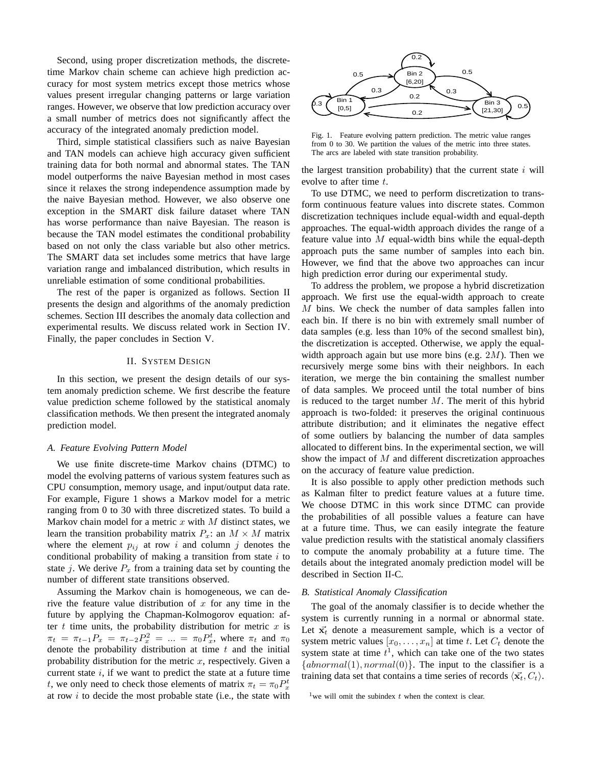Second, using proper discretization methods, the discretetime Markov chain scheme can achieve high prediction accuracy for most system metrics except those metrics whose values present irregular changing patterns or large variation ranges. However, we observe that low prediction accuracy over a small number of metrics does not significantly affect the accuracy of the integrated anomaly prediction model.

Third, simple statistical classifiers such as naive Bayesian and TAN models can achieve high accuracy given sufficient training data for both normal and abnormal states. The TAN model outperforms the naive Bayesian method in most cases since it relaxes the strong independence assumption made by the naive Bayesian method. However, we also observe one exception in the SMART disk failure dataset where TAN has worse performance than naive Bayesian. The reason is because the TAN model estimates the conditional probability based on not only the class variable but also other metrics. The SMART data set includes some metrics that have large variation range and imbalanced distribution, which results in unreliable estimation of some conditional probabilities.

The rest of the paper is organized as follows. Section II presents the design and algorithms of the anomaly prediction schemes. Section III describes the anomaly data collection and experimental results. We discuss related work in Section IV. Finally, the paper concludes in Section V.

# II. SYSTEM DESIGN

In this section, we present the design details of our system anomaly prediction scheme. We first describe the feature value prediction scheme followed by the statistical anomaly classification methods. We then present the integrated anomaly prediction model.

#### *A. Feature Evolving Pattern Model*

We use finite discrete-time Markov chains (DTMC) to model the evolving patterns of various system features such as CPU consumption, memory usage, and input/output data rate. For example, Figure 1 shows a Markov model for a metric ranging from 0 to 30 with three discretized states. To build a Markov chain model for a metric x with M distinct states, we learn the transition probability matrix  $P_x$ : an  $M \times M$  matrix where the element  $p_{ij}$  at row i and column j denotes the conditional probability of making a transition from state  $i$  to state j. We derive  $P_x$  from a training data set by counting the number of different state transitions observed.

Assuming the Markov chain is homogeneous, we can derive the feature value distribution of  $x$  for any time in the future by applying the Chapman-Kolmogorov equation: after  $t$  time units, the probability distribution for metric  $x$  is  $\pi_t = \pi_{t-1} P_x = \pi_{t-2} P_x^2 = ... = \pi_0 P_x^t$ , where  $\pi_t$  and  $\pi_0$ denote the probability distribution at time  $t$  and the initial probability distribution for the metric  $x$ , respectively. Given a current state  $i$ , if we want to predict the state at a future time *t*, we only need to check those elements of matrix  $\pi_t = \pi_0 P_x^t$ at row  $i$  to decide the most probable state (i.e., the state with



Fig. 1. Feature evolving pattern prediction. The metric value ranges from 0 to 30. We partition the values of the metric into three states. The arcs are labeled with state transition probability.

the largest transition probability) that the current state  $i$  will evolve to after time t.

To use DTMC, we need to perform discretization to transform continuous feature values into discrete states. Common discretization techniques include equal-width and equal-depth approaches. The equal-width approach divides the range of a feature value into  $M$  equal-width bins while the equal-depth approach puts the same number of samples into each bin. However, we find that the above two approaches can incur high prediction error during our experimental study.

To address the problem, we propose a hybrid discretization approach. We first use the equal-width approach to create  $M$  bins. We check the number of data samples fallen into each bin. If there is no bin with extremely small number of data samples (e.g. less than 10% of the second smallest bin), the discretization is accepted. Otherwise, we apply the equalwidth approach again but use more bins (e.g.  $2M$ ). Then we recursively merge some bins with their neighbors. In each iteration, we merge the bin containing the smallest number of data samples. We proceed until the total number of bins is reduced to the target number  $M$ . The merit of this hybrid approach is two-folded: it preserves the original continuous attribute distribution; and it eliminates the negative effect of some outliers by balancing the number of data samples allocated to different bins. In the experimental section, we will show the impact of  $M$  and different discretization approaches on the accuracy of feature value prediction.

It is also possible to apply other prediction methods such as Kalman filter to predict feature values at a future time. We choose DTMC in this work since DTMC can provide the probabilities of all possible values a feature can have at a future time. Thus, we can easily integrate the feature value prediction results with the statistical anomaly classifiers to compute the anomaly probability at a future time. The details about the integrated anomaly prediction model will be described in Section II-C.

#### *B. Statistical Anomaly Classification*

The goal of the anomaly classifier is to decide whether the system is currently running in a normal or abnormal state. Let  $\vec{x_t}$  denote a measurement sample, which is a vector of system metric values  $[x_0, \ldots, x_n]$  at time t. Let  $C_t$  denote the system state at time  $t<sup>1</sup>$ , which can take one of the two states  ${abnormal}(1), normal(0)$ . The input to the classifier is a training data set that contains a time series of records  $\langle \vec{x_t}, C_t \rangle$ .

<sup>&</sup>lt;sup>1</sup> we will omit the subindex  $t$  when the context is clear.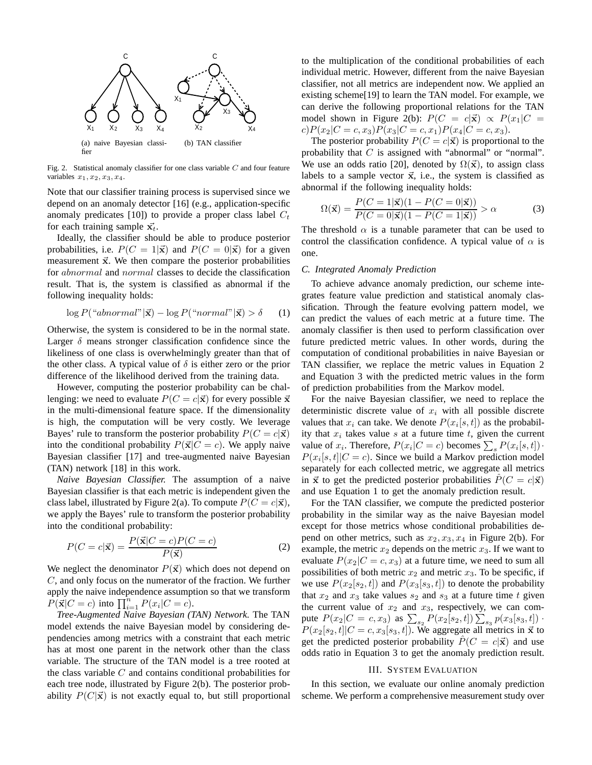

Fig. 2. Statistical anomaly classifier for one class variable  $C$  and four feature variables  $x_1, x_2, x_3, x_4$ .

Note that our classifier training process is supervised since we depend on an anomaly detector [16] (e.g., application-specific anomaly predicates [10]) to provide a proper class label  $C_t$ for each training sample  $\vec{x_t}$ .

Ideally, the classifier should be able to produce posterior probabilities, i.e.  $P(C = 1|\vec{x})$  and  $P(C = 0|\vec{x})$  for a given measurement  $\vec{x}$ . We then compare the posterior probabilities for abnormal and normal classes to decide the classification result. That is, the system is classified as abnormal if the following inequality holds:

$$
\log P("abnormal" | \vec{x}) - \log P("normal" | \vec{x}) > \delta \qquad (1)
$$

Otherwise, the system is considered to be in the normal state. Larger  $\delta$  means stronger classification confidence since the likeliness of one class is overwhelmingly greater than that of the other class. A typical value of  $\delta$  is either zero or the prior difference of the likelihood derived from the training data.

However, computing the posterior probability can be challenging: we need to evaluate  $P(C = c|\vec{x})$  for every possible  $\vec{x}$ in the multi-dimensional feature space. If the dimensionality is high, the computation will be very costly. We leverage Bayes' rule to transform the posterior probability  $P(C = c|\vec{x})$ into the conditional probability  $P(\vec{x}|C = c)$ . We apply naive Bayesian classifier [17] and tree-augmented naive Bayesian (TAN) network [18] in this work.

*Naive Bayesian Classifier.* The assumption of a naive Bayesian classifier is that each metric is independent given the class label, illustrated by Figure 2(a). To compute  $P(C = c|\vec{x})$ , we apply the Bayes' rule to transform the posterior probability into the conditional probability:

$$
P(C = c|\vec{\mathbf{x}}) = \frac{P(\vec{\mathbf{x}}|C = c)P(C = c)}{P(\vec{\mathbf{x}})}
$$
(2)

We neglect the denominator  $P(\vec{x})$  which does not depend on C, and only focus on the numerator of the fraction. We further apply the naive independence assumption so that we transform  $P(\vec{x}|C = c)$  into  $\prod_{i=1}^{n} P(x_i|C = c)$ .

*Tree-Augmented Naive Bayesian (TAN) Network.* The TAN model extends the naive Bayesian model by considering dependencies among metrics with a constraint that each metric has at most one parent in the network other than the class variable. The structure of the TAN model is a tree rooted at the class variable  $C$  and contains conditional probabilities for each tree node, illustrated by Figure 2(b). The posterior probability  $P(C|\vec{x})$  is not exactly equal to, but still proportional to the multiplication of the conditional probabilities of each individual metric. However, different from the naive Bayesian classifier, not all metrics are independent now. We applied an existing scheme[19] to learn the TAN model. For example, we can derive the following proportional relations for the TAN model shown in Figure 2(b):  $P(C = c|\vec{x}) \propto P(x_1|C)$  $c)P(x_2|C=c, x_3)P(x_3|C=c, x_1)P(x_4|C=c, x_3).$ 

The posterior probability  $P(C = c|\vec{x})$  is proportional to the probability that  $C$  is assigned with "abnormal" or "normal". We use an odds ratio [20], denoted by  $\Omega(\vec{x})$ , to assign class labels to a sample vector  $\vec{x}$ , i.e., the system is classified as abnormal if the following inequality holds:

$$
\Omega(\vec{x}) = \frac{P(C=1|\vec{x})(1 - P(C=0|\vec{x}))}{P(C=0|\vec{x})(1 - P(C=1|\vec{x}))} > \alpha
$$
\n(3)

The threshold  $\alpha$  is a tunable parameter that can be used to control the classification confidence. A typical value of  $\alpha$  is one.

## *C. Integrated Anomaly Prediction*

To achieve advance anomaly prediction, our scheme integrates feature value prediction and statistical anomaly classification. Through the feature evolving pattern model, we can predict the values of each metric at a future time. The anomaly classifier is then used to perform classification over future predicted metric values. In other words, during the computation of conditional probabilities in naive Bayesian or TAN classifier, we replace the metric values in Equation 2 and Equation 3 with the predicted metric values in the form of prediction probabilities from the Markov model.

For the naive Bayesian classifier, we need to replace the deterministic discrete value of  $x_i$  with all possible discrete values that  $x_i$  can take. We denote  $P(x_i[s, t])$  as the probability that  $x_i$  takes value s at a future time t, given the current value of  $x_i$ . Therefore,  $P(x_i|C = c)$  becomes  $\sum_s P(x_i[s, t])$ .  $P(x_i[s, t]|C = c)$ . Since we build a Markov prediction model separately for each collected metric, we aggregate all metrics in  $\vec{x}$  to get the predicted posterior probabilities  $P(C = c|\vec{x})$ and use Equation 1 to get the anomaly prediction result.

For the TAN classifier, we compute the predicted posterior probability in the similar way as the naive Bayesian model except for those metrics whose conditional probabilities depend on other metrics, such as  $x_2, x_3, x_4$  in Figure 2(b). For example, the metric  $x_2$  depends on the metric  $x_3$ . If we want to evaluate  $P(x_2|C = c, x_3)$  at a future time, we need to sum all possibilities of both metric  $x_2$  and metric  $x_3$ . To be specific, if we use  $P(x_2[s_2, t])$  and  $P(x_3[s_3, t])$  to denote the probability that  $x_2$  and  $x_3$  take values  $s_2$  and  $s_3$  at a future time t given the current value of  $x_2$  and  $x_3$ , respectively, we can compute  $P(x_2|C = c, x_3)$  as  $\sum_{s_2} P(x_2[s_2, t]) \sum_{s_3} p(x_3[s_3, t])$ .  $P(x_2[s_2, t]|C = c, x_3[s_3, t])$ . We aggregate all metrics in  $\vec{x}$  to get the predicted posterior probability  $\hat{P}(C = c|\vec{x})$  and use odds ratio in Equation 3 to get the anomaly prediction result.

#### III. SYSTEM EVALUATION

In this section, we evaluate our online anomaly prediction scheme. We perform a comprehensive measurement study over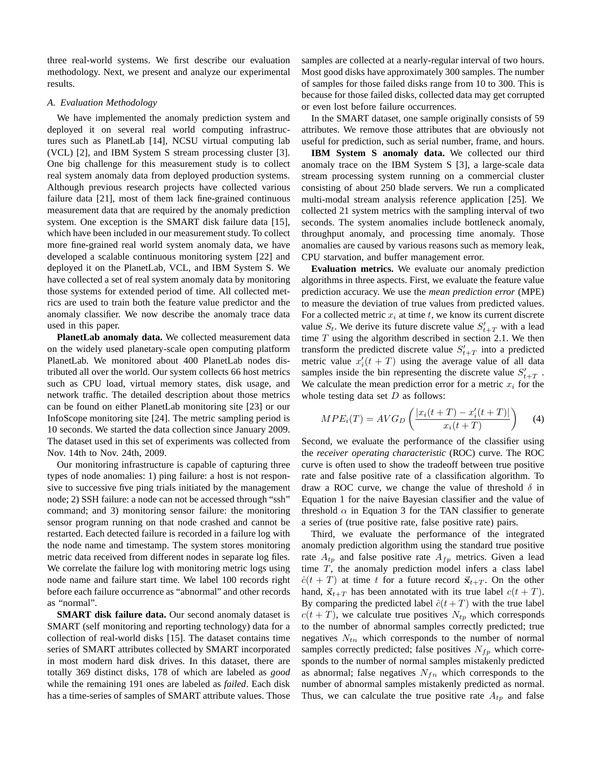three real-world systems. We first describe our evaluation methodology. Next, we present and analyze our experimental results.

## *A. Evaluation Methodology*

We have implemented the anomaly prediction system and deployed it on several real world computing infrastructures such as PlanetLab [14], NCSU virtual computing lab (VCL) [2], and IBM System S stream processing cluster [3]. One big challenge for this measurement study is to collect real system anomaly data from deployed production systems. Although previous research projects have collected various failure data [21], most of them lack fine-grained continuous measurement data that are required by the anomaly prediction system. One exception is the SMART disk failure data [15], which have been included in our measurement study. To collect more fine-grained real world system anomaly data, we have developed a scalable continuous monitoring system [22] and deployed it on the PlanetLab, VCL, and IBM System S. We have collected a set of real system anomaly data by monitoring those systems for extended period of time. All collected metrics are used to train both the feature value predictor and the anomaly classifier. We now describe the anomaly trace data used in this paper.

**PlanetLab anomaly data.** We collected measurement data on the widely used planetary-scale open computing platform PlanetLab. We monitored about 400 PlanetLab nodes distributed all over the world. Our system collects 66 host metrics such as CPU load, virtual memory states, disk usage, and network traffic. The detailed description about those metrics can be found on either PlanetLab monitoring site [23] or our InfoScope monitoring site [24]. The metric sampling period is 10 seconds. We started the data collection since January 2009. The dataset used in this set of experiments was collected from Nov. 14th to Nov. 24th, 2009.

Our monitoring infrastructure is capable of capturing three types of node anomalies: 1) ping failure: a host is not responsive to successive five ping trials initiated by the management node; 2) SSH failure: a node can not be accessed through "ssh" command; and 3) monitoring sensor failure: the monitoring sensor program running on that node crashed and cannot be restarted. Each detected failure is recorded in a failure log with the node name and timestamp. The system stores monitoring metric data received from different nodes in separate log files. We correlate the failure log with monitoring metric logs using node name and failure start time. We label 100 records right before each failure occurrence as "abnormal" and other records as "normal".

**SMART disk failure data.** Our second anomaly dataset is SMART (self monitoring and reporting technology) data for a collection of real-world disks [15]. The dataset contains time series of SMART attributes collected by SMART incorporated in most modern hard disk drives. In this dataset, there are totally 369 distinct disks, 178 of which are labeled as *good* while the remaining 191 ones are labeled as *failed*. Each disk has a time-series of samples of SMART attribute values. Those samples are collected at a nearly-regular interval of two hours. Most good disks have approximately 300 samples. The number of samples for those failed disks range from 10 to 300. This is because for those failed disks, collected data may get corrupted or even lost before failure occurrences.

In the SMART dataset, one sample originally consists of 59 attributes. We remove those attributes that are obviously not useful for prediction, such as serial number, frame, and hours.

**IBM System S anomaly data.** We collected our third anomaly trace on the IBM System S [3], a large-scale data stream processing system running on a commercial cluster consisting of about 250 blade servers. We run a complicated multi-modal stream analysis reference application [25]. We collected 21 system metrics with the sampling interval of two seconds. The system anomalies include bottleneck anomaly, throughput anomaly, and processing time anomaly. Those anomalies are caused by various reasons such as memory leak, CPU starvation, and buffer management error.

**Evaluation metrics.** We evaluate our anomaly prediction algorithms in three aspects. First, we evaluate the feature value prediction accuracy. We use the *mean prediction error* (MPE) to measure the deviation of true values from predicted values. For a collected metric  $x_i$  at time t, we know its current discrete value  $S_t$ . We derive its future discrete value  $S'_{t+T}$  with a lead time  $T$  using the algorithm described in section 2.1. We then transform the predicted discrete value  $S'_{t+T}$  into a predicted metric value  $x'_i(t+T)$  using the average value of all data samples inside the bin representing the discrete value  $S'_{t+T}$ . We calculate the mean prediction error for a metric  $x_i$  for the whole testing data set  $D$  as follows:

$$
MPE_i(T) = AVG_D\left(\frac{|x_i(t+T) - x_i'(t+T)|}{x_i(t+T)}\right)
$$
 (4)

Second, we evaluate the performance of the classifier using the *receiver operating characteristic* (ROC) curve. The ROC curve is often used to show the tradeoff between true positive rate and false positive rate of a classification algorithm. To draw a ROC curve, we change the value of threshold  $\delta$  in Equation 1 for the naive Bayesian classifier and the value of threshold  $\alpha$  in Equation 3 for the TAN classifier to generate a series of (true positive rate, false positive rate) pairs.

Third, we evaluate the performance of the integrated anomaly prediction algorithm using the standard true positive rate  $A_{tp}$  and false positive rate  $A_{fp}$  metrics. Given a lead time  $T$ , the anomaly prediction model infers a class label  $\hat{c}(t + T)$  at time t for a future record  $\vec{x}_{t+T}$ . On the other hand,  $\vec{x}_{t+T}$  has been annotated with its true label  $c(t + T)$ . By comparing the predicted label  $\hat{c}(t+T)$  with the true label  $c(t + T)$ , we calculate true positives  $N_{tp}$  which corresponds to the number of abnormal samples correctly predicted; true negatives  $N_{tn}$  which corresponds to the number of normal samples correctly predicted; false positives  $N_{fp}$  which corresponds to the number of normal samples mistakenly predicted as abnormal; false negatives  $N_{fn}$  which corresponds to the number of abnormal samples mistakenly predicted as normal. Thus, we can calculate the true positive rate  $A_{tp}$  and false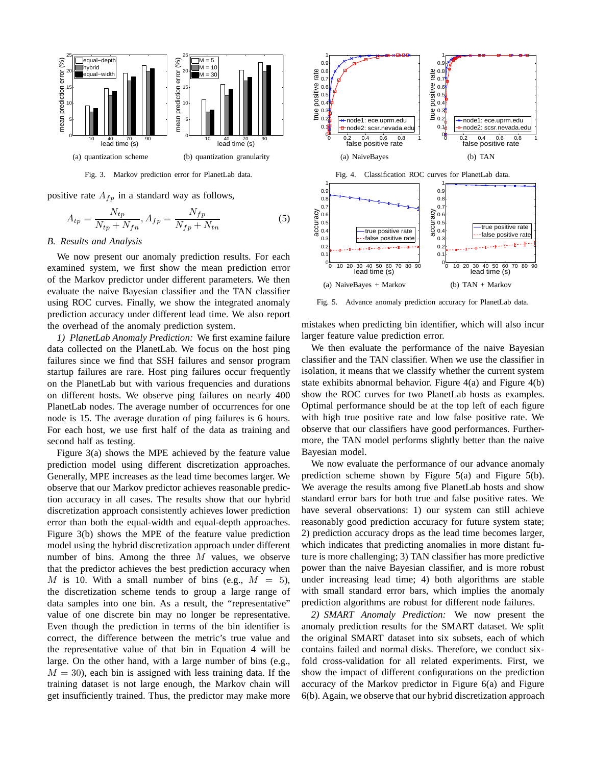

Fig. 3. Markov prediction error for PlanetLab data.

positive rate  $A_{fp}$  in a standard way as follows,

$$
A_{tp} = \frac{N_{tp}}{N_{tp} + N_{fn}}, A_{fp} = \frac{N_{fp}}{N_{fp} + N_{tn}}
$$
(5)

### *B. Results and Analysis*

We now present our anomaly prediction results. For each examined system, we first show the mean prediction error of the Markov predictor under different parameters. We then evaluate the naive Bayesian classifier and the TAN classifier using ROC curves. Finally, we show the integrated anomaly prediction accuracy under different lead time. We also report the overhead of the anomaly prediction system.

*1) PlanetLab Anomaly Prediction:* We first examine failure data collected on the PlanetLab. We focus on the host ping failures since we find that SSH failures and sensor program startup failures are rare. Host ping failures occur frequently on the PlanetLab but with various frequencies and durations on different hosts. We observe ping failures on nearly 400 PlanetLab nodes. The average number of occurrences for one node is 15. The average duration of ping failures is 6 hours. For each host, we use first half of the data as training and second half as testing.

Figure 3(a) shows the MPE achieved by the feature value prediction model using different discretization approaches. Generally, MPE increases as the lead time becomes larger. We observe that our Markov predictor achieves reasonable prediction accuracy in all cases. The results show that our hybrid discretization approach consistently achieves lower prediction error than both the equal-width and equal-depth approaches. Figure 3(b) shows the MPE of the feature value prediction model using the hybrid discretization approach under different number of bins. Among the three  $M$  values, we observe that the predictor achieves the best prediction accuracy when M is 10. With a small number of bins (e.g.,  $M = 5$ ), the discretization scheme tends to group a large range of data samples into one bin. As a result, the "representative" value of one discrete bin may no longer be representative. Even though the prediction in terms of the bin identifier is correct, the difference between the metric's true value and the representative value of that bin in Equation 4 will be large. On the other hand, with a large number of bins (e.g.,  $M = 30$ , each bin is assigned with less training data. If the training dataset is not large enough, the Markov chain will get insufficiently trained. Thus, the predictor may make more



Fig. 5. Advance anomaly prediction accuracy for PlanetLab data.

mistakes when predicting bin identifier, which will also incur larger feature value prediction error.

We then evaluate the performance of the naive Bayesian classifier and the TAN classifier. When we use the classifier in isolation, it means that we classify whether the current system state exhibits abnormal behavior. Figure 4(a) and Figure 4(b) show the ROC curves for two PlanetLab hosts as examples. Optimal performance should be at the top left of each figure with high true positive rate and low false positive rate. We observe that our classifiers have good performances. Furthermore, the TAN model performs slightly better than the naive Bayesian model.

We now evaluate the performance of our advance anomaly prediction scheme shown by Figure 5(a) and Figure 5(b). We average the results among five PlanetLab hosts and show standard error bars for both true and false positive rates. We have several observations: 1) our system can still achieve reasonably good prediction accuracy for future system state; 2) prediction accuracy drops as the lead time becomes larger, which indicates that predicting anomalies in more distant future is more challenging; 3) TAN classifier has more predictive power than the naive Bayesian classifier, and is more robust under increasing lead time; 4) both algorithms are stable with small standard error bars, which implies the anomaly prediction algorithms are robust for different node failures.

*2) SMART Anomaly Prediction:* We now present the anomaly prediction results for the SMART dataset. We split the original SMART dataset into six subsets, each of which contains failed and normal disks. Therefore, we conduct sixfold cross-validation for all related experiments. First, we show the impact of different configurations on the prediction accuracy of the Markov predictor in Figure 6(a) and Figure 6(b). Again, we observe that our hybrid discretization approach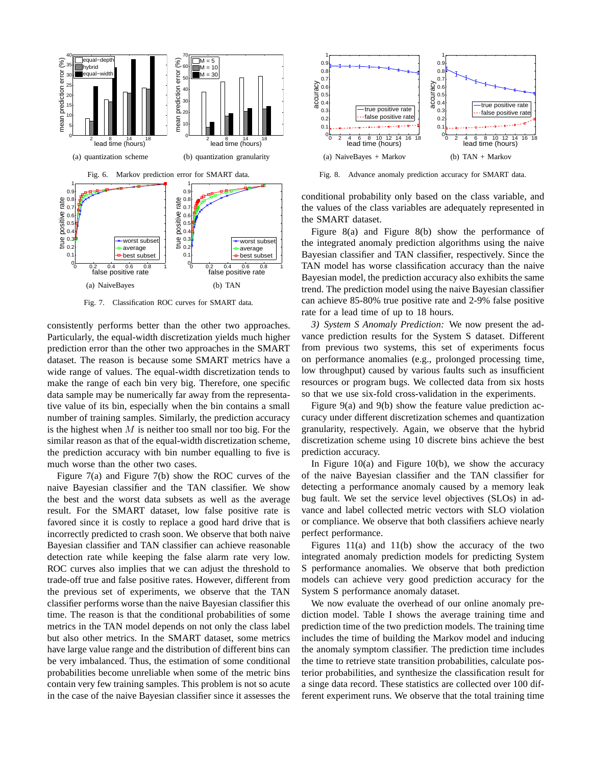

Fig. 7. Classification ROC curves for SMART data.

consistently performs better than the other two approaches. Particularly, the equal-width discretization yields much higher prediction error than the other two approaches in the SMART dataset. The reason is because some SMART metrics have a wide range of values. The equal-width discretization tends to make the range of each bin very big. Therefore, one specific data sample may be numerically far away from the representative value of its bin, especially when the bin contains a small number of training samples. Similarly, the prediction accuracy is the highest when  $M$  is neither too small nor too big. For the similar reason as that of the equal-width discretization scheme, the prediction accuracy with bin number equalling to five is much worse than the other two cases.

Figure 7(a) and Figure 7(b) show the ROC curves of the naive Bayesian classifier and the TAN classifier. We show the best and the worst data subsets as well as the average result. For the SMART dataset, low false positive rate is favored since it is costly to replace a good hard drive that is incorrectly predicted to crash soon. We observe that both naive Bayesian classifier and TAN classifier can achieve reasonable detection rate while keeping the false alarm rate very low. ROC curves also implies that we can adjust the threshold to trade-off true and false positive rates. However, different from the previous set of experiments, we observe that the TAN classifier performs worse than the naive Bayesian classifier this time. The reason is that the conditional probabilities of some metrics in the TAN model depends on not only the class label but also other metrics. In the SMART dataset, some metrics have large value range and the distribution of different bins can be very imbalanced. Thus, the estimation of some conditional probabilities become unreliable when some of the metric bins contain very few training samples. This problem is not so acute in the case of the naive Bayesian classifier since it assesses the



Fig. 8. Advance anomaly prediction accuracy for SMART data.

conditional probability only based on the class variable, and the values of the class variables are adequately represented in the SMART dataset.

Figure 8(a) and Figure 8(b) show the performance of the integrated anomaly prediction algorithms using the naive Bayesian classifier and TAN classifier, respectively. Since the TAN model has worse classification accuracy than the naive Bayesian model, the prediction accuracy also exhibits the same trend. The prediction model using the naive Bayesian classifier can achieve 85-80% true positive rate and 2-9% false positive rate for a lead time of up to 18 hours.

*3) System S Anomaly Prediction:* We now present the advance prediction results for the System S dataset. Different from previous two systems, this set of experiments focus on performance anomalies (e.g., prolonged processing time, low throughput) caused by various faults such as insufficient resources or program bugs. We collected data from six hosts so that we use six-fold cross-validation in the experiments.

Figure 9(a) and 9(b) show the feature value prediction accuracy under different discretization schemes and quantization granularity, respectively. Again, we observe that the hybrid discretization scheme using 10 discrete bins achieve the best prediction accuracy.

In Figure  $10(a)$  and Figure  $10(b)$ , we show the accuracy of the naive Bayesian classifier and the TAN classifier for detecting a performance anomaly caused by a memory leak bug fault. We set the service level objectives (SLOs) in advance and label collected metric vectors with SLO violation or compliance. We observe that both classifiers achieve nearly perfect performance.

Figures  $11(a)$  and  $11(b)$  show the accuracy of the two integrated anomaly prediction models for predicting System S performance anomalies. We observe that both prediction models can achieve very good prediction accuracy for the System S performance anomaly dataset.

We now evaluate the overhead of our online anomaly prediction model. Table I shows the average training time and prediction time of the two prediction models. The training time includes the time of building the Markov model and inducing the anomaly symptom classifier. The prediction time includes the time to retrieve state transition probabilities, calculate posterior probabilities, and synthesize the classification result for a singe data record. These statistics are collected over 100 different experiment runs. We observe that the total training time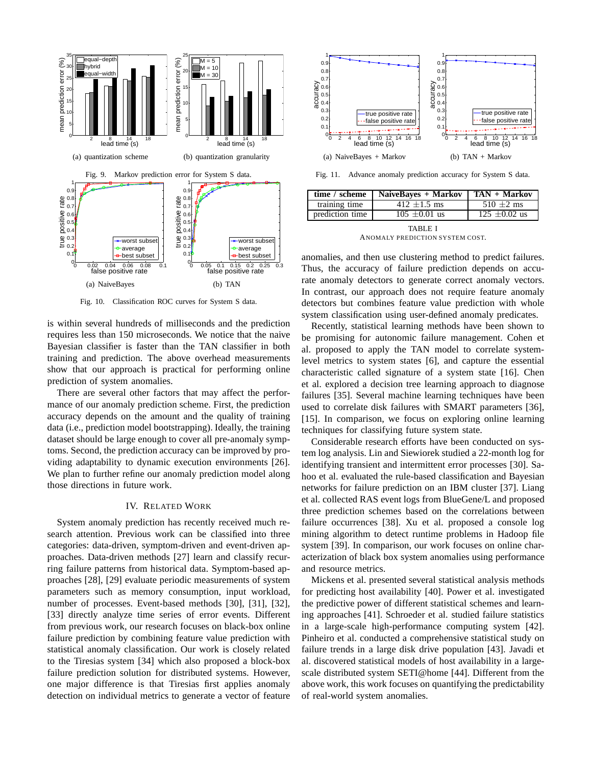

Fig. 10. Classification ROC curves for System S data.

is within several hundreds of milliseconds and the prediction requires less than 150 microseconds. We notice that the naive Bayesian classifier is faster than the TAN classifier in both training and prediction. The above overhead measurements show that our approach is practical for performing online prediction of system anomalies.

There are several other factors that may affect the performance of our anomaly prediction scheme. First, the prediction accuracy depends on the amount and the quality of training data (i.e., prediction model bootstrapping). Ideally, the training dataset should be large enough to cover all pre-anomaly symptoms. Second, the prediction accuracy can be improved by providing adaptability to dynamic execution environments [26]. We plan to further refine our anomaly prediction model along those directions in future work.

# IV. RELATED WORK

System anomaly prediction has recently received much research attention. Previous work can be classified into three categories: data-driven, symptom-driven and event-driven approaches. Data-driven methods [27] learn and classify recurring failure patterns from historical data. Symptom-based approaches [28], [29] evaluate periodic measurements of system parameters such as memory consumption, input workload, number of processes. Event-based methods [30], [31], [32], [33] directly analyze time series of error events. Different from previous work, our research focuses on black-box online failure prediction by combining feature value prediction with statistical anomaly classification. Our work is closely related to the Tiresias system [34] which also proposed a block-box failure prediction solution for distributed systems. However, one major difference is that Tiresias first applies anomaly detection on individual metrics to generate a vector of feature



Fig. 11. Advance anomaly prediction accuracy for System S data.

| l time / scheme | NaiveBayes + Markov | $TAN + Markov$    |
|-----------------|---------------------|-------------------|
| training time   | $412 + 1.5$ ms      | $510 + 2$ ms      |
| prediction time | $105 \pm 0.01$ us   | $125 \pm 0.02$ us |
| TARI E I        |                     |                   |

ANOMALY PREDICTION SYSTEM COST.

anomalies, and then use clustering method to predict failures. Thus, the accuracy of failure prediction depends on accurate anomaly detectors to generate correct anomaly vectors. In contrast, our approach does not require feature anomaly detectors but combines feature value prediction with whole system classification using user-defined anomaly predicates.

Recently, statistical learning methods have been shown to be promising for autonomic failure management. Cohen et al. proposed to apply the TAN model to correlate systemlevel metrics to system states [6], and capture the essential characteristic called signature of a system state [16]. Chen et al. explored a decision tree learning approach to diagnose failures [35]. Several machine learning techniques have been used to correlate disk failures with SMART parameters [36], [15]. In comparison, we focus on exploring online learning techniques for classifying future system state.

Considerable research efforts have been conducted on system log analysis. Lin and Siewiorek studied a 22-month log for identifying transient and intermittent error processes [30]. Sahoo et al. evaluated the rule-based classification and Bayesian networks for failure prediction on an IBM cluster [37]. Liang et al. collected RAS event logs from BlueGene/L and proposed three prediction schemes based on the correlations between failure occurrences [38]. Xu et al. proposed a console log mining algorithm to detect runtime problems in Hadoop file system [39]. In comparison, our work focuses on online characterization of black box system anomalies using performance and resource metrics.

Mickens et al. presented several statistical analysis methods for predicting host availability [40]. Power et al. investigated the predictive power of different statistical schemes and learning approaches [41]. Schroeder et al. studied failure statistics in a large-scale high-performance computing system [42]. Pinheiro et al. conducted a comprehensive statistical study on failure trends in a large disk drive population [43]. Javadi et al. discovered statistical models of host availability in a largescale distributed system SETI@home [44]. Different from the above work, this work focuses on quantifying the predictability of real-world system anomalies.